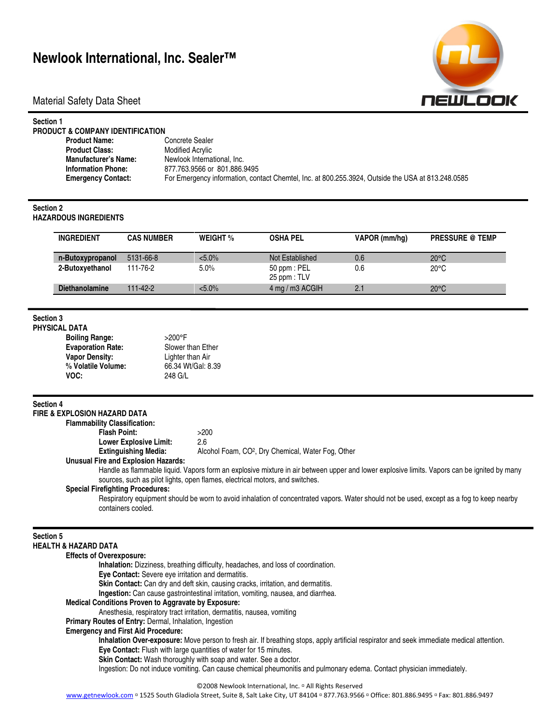# **Newlook International, Inc. Sealer™**

Material Safety Data Sheet



| Section 1<br><b>PRODUCT &amp; COMPANY IDENTIFICATION</b> |                                                                                                   |
|----------------------------------------------------------|---------------------------------------------------------------------------------------------------|
| <b>Product Name:</b>                                     | Concrete Sealer                                                                                   |
| <b>Product Class:</b>                                    | Modified Acrylic                                                                                  |
| <b>Manufacturer's Name:</b>                              | Newlook International, Inc.                                                                       |
| <b>Information Phone:</b>                                | 877.763.9566 or 801.886.9495                                                                      |
| <b>Emergency Contact:</b>                                | For Emergency information, contact Chemtel, Inc. at 800.255.3924, Outside the USA at 813.248.0585 |
|                                                          |                                                                                                   |

#### **Section 2**

**HAZARDOUS INGREDIENTS** 

| <b>INGREDIENT</b>     | <b>CAS NUMBER</b> | <b>WEIGHT</b> % | <b>OSHA PEL</b>                  | VAPOR (mm/hq) | <b>PRESSURE @ TEMP</b> |
|-----------------------|-------------------|-----------------|----------------------------------|---------------|------------------------|
| n-Butoxypropanol      | 5131-66-8         | $< 5.0\%$       | Not Established                  | 0.6           | $20^{\circ}$ C         |
| 2-Butoxyethanol       | 111-76-2          | 5.0%            | 50 ppm : PEL<br>$25$ ppm : $TLV$ | 0.6           | $20^{\circ}$ C         |
| <b>Diethanolamine</b> | $111 - 42 - 2$    | $< 5.0\%$       | 4 mg / m3 ACGIH                  | 2.1           | $20^{\circ}$ C         |

### **Section 3 PHYSICAL DATA**

| . DA I A                 |                    |
|--------------------------|--------------------|
| Boiling Range:           | $>200^\circ$ F     |
| <b>Evaporation Rate:</b> | Slower than Ether  |
| Vapor Density:           | Lighter than Air   |
| % Volatile Volume:       | 66.34 Wt/Gal: 8.39 |
| VOC:                     | 248 G/L            |

#### **Section 4**

|                  | <b>FIRE &amp; EXPLOSION HAZARD DATA</b>                                                                                                                                                                                     |                                                                                                                                              |  |  |  |  |  |  |
|------------------|-----------------------------------------------------------------------------------------------------------------------------------------------------------------------------------------------------------------------------|----------------------------------------------------------------------------------------------------------------------------------------------|--|--|--|--|--|--|
|                  | <b>Flammability Classification:</b>                                                                                                                                                                                         |                                                                                                                                              |  |  |  |  |  |  |
|                  | <b>Flash Point:</b>                                                                                                                                                                                                         | >200                                                                                                                                         |  |  |  |  |  |  |
|                  | <b>Lower Explosive Limit:</b>                                                                                                                                                                                               | 2.6                                                                                                                                          |  |  |  |  |  |  |
|                  | <b>Extinguishing Media:</b>                                                                                                                                                                                                 | Alcohol Foam, CO <sup>2</sup> , Dry Chemical, Water Fog, Other                                                                               |  |  |  |  |  |  |
|                  | <b>Unusual Fire and Explosion Hazards:</b>                                                                                                                                                                                  |                                                                                                                                              |  |  |  |  |  |  |
|                  | Handle as flammable liquid. Vapors form an explosive mixture in air between upper and lower explosive limits. Vapors can be ignited by many<br>sources, such as pilot lights, open flames, electrical motors, and switches. |                                                                                                                                              |  |  |  |  |  |  |
|                  | <b>Special Firefighting Procedures:</b>                                                                                                                                                                                     |                                                                                                                                              |  |  |  |  |  |  |
|                  | Respiratory equipment should be worn to avoid inhalation of concentrated vapors. Water should not be used, except as a fog to keep nearby<br>containers cooled.                                                             |                                                                                                                                              |  |  |  |  |  |  |
| <b>Section 5</b> | <b>HEALTH &amp; HAZARD DATA</b>                                                                                                                                                                                             |                                                                                                                                              |  |  |  |  |  |  |
|                  | <b>Effects of Overexposure:</b>                                                                                                                                                                                             |                                                                                                                                              |  |  |  |  |  |  |
|                  | Inhalation: Dizziness, breathing difficulty, headaches, and loss of coordination.                                                                                                                                           |                                                                                                                                              |  |  |  |  |  |  |
|                  | Eye Contact: Severe eye irritation and dermatitis.                                                                                                                                                                          |                                                                                                                                              |  |  |  |  |  |  |
|                  |                                                                                                                                                                                                                             | Skin Contact: Can dry and deft skin, causing cracks, irritation, and dermatitis.                                                             |  |  |  |  |  |  |
|                  |                                                                                                                                                                                                                             | Ingestion: Can cause gastrointestinal irritation, vomiting, nausea, and diarrhea.                                                            |  |  |  |  |  |  |
|                  | <b>Medical Conditions Proven to Aggravate by Exposure:</b>                                                                                                                                                                  |                                                                                                                                              |  |  |  |  |  |  |
|                  | Anesthesia, respiratory tract irritation, dermatitis, nausea, vomiting                                                                                                                                                      |                                                                                                                                              |  |  |  |  |  |  |
|                  | Primary Routes of Entry: Dermal, Inhalation, Ingestion                                                                                                                                                                      |                                                                                                                                              |  |  |  |  |  |  |
|                  | <b>Emergency and First Aid Procedure:</b>                                                                                                                                                                                   |                                                                                                                                              |  |  |  |  |  |  |
|                  |                                                                                                                                                                                                                             | Inhalation Over-exposure: Move person to fresh air. If breathing stops, apply artificial respirator and seek immediate medical attention.    |  |  |  |  |  |  |
|                  |                                                                                                                                                                                                                             | Eye Contact: Flush with large quantities of water for 15 minutes.                                                                            |  |  |  |  |  |  |
|                  |                                                                                                                                                                                                                             | Skin Contact: Wash thoroughly with soap and water. See a doctor.                                                                             |  |  |  |  |  |  |
|                  |                                                                                                                                                                                                                             | Ingestion: Do not induce vomiting. Can cause chemical pheumonitis and pulmonary edema. Contact physician immediately.                        |  |  |  |  |  |  |
|                  |                                                                                                                                                                                                                             | ©2008 Newlook International, Inc. <sup>□</sup> All Rights Reserved                                                                           |  |  |  |  |  |  |
|                  |                                                                                                                                                                                                                             | www.getnewlook.com □ 1525 South Gladiola Street, Suite 8, Salt Lake City, UT 84104 □ 877.763.9566 □ Office: 801.886.9495 □ Fax: 801.886.9497 |  |  |  |  |  |  |